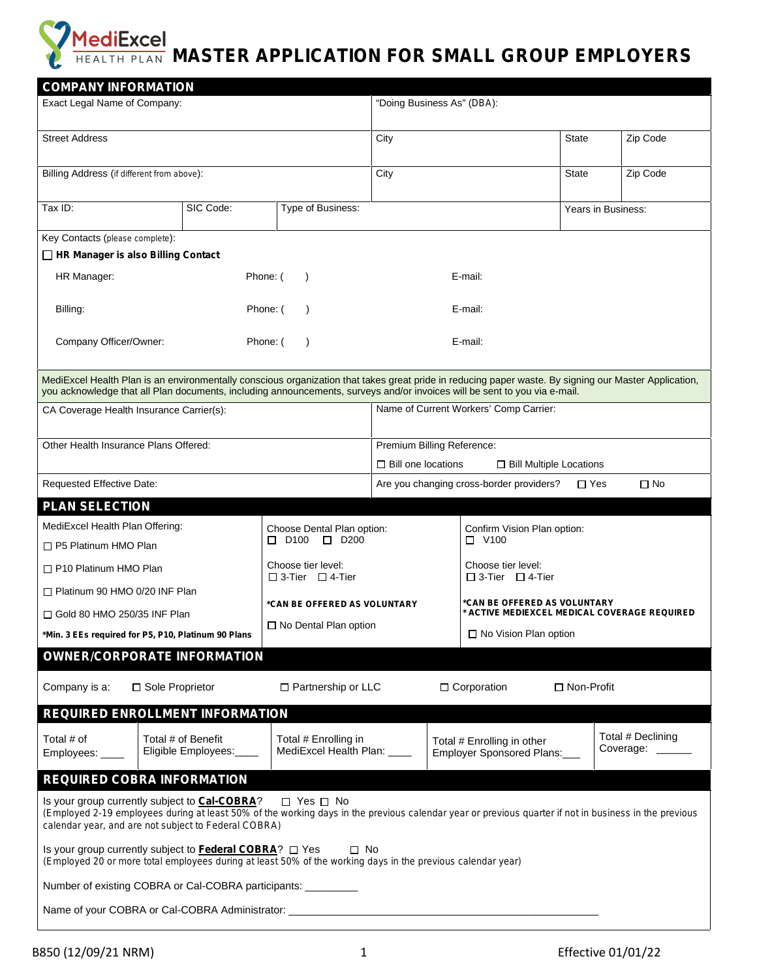## **MediExcel MASTER APPLICATION FOR SMALL GROUP EMPLOYERS**

| <b>COMPANY INFORMATION</b>                                                                                                                                                                                                                                                         |                                                     |                                                                                      |                                                                              |                    |                                   |  |  |
|------------------------------------------------------------------------------------------------------------------------------------------------------------------------------------------------------------------------------------------------------------------------------------|-----------------------------------------------------|--------------------------------------------------------------------------------------|------------------------------------------------------------------------------|--------------------|-----------------------------------|--|--|
| Exact Legal Name of Company:                                                                                                                                                                                                                                                       |                                                     | "Doing Business As" (DBA):                                                           |                                                                              |                    |                                   |  |  |
| <b>Street Address</b>                                                                                                                                                                                                                                                              |                                                     | City                                                                                 |                                                                              | <b>State</b>       | Zip Code                          |  |  |
| Billing Address (if different from above):                                                                                                                                                                                                                                         |                                                     | City                                                                                 |                                                                              | <b>State</b>       | Zip Code                          |  |  |
| SIC Code:<br>Tax ID:                                                                                                                                                                                                                                                               | Type of Business:                                   |                                                                                      |                                                                              | Years in Business: |                                   |  |  |
| Key Contacts (please complete):                                                                                                                                                                                                                                                    |                                                     |                                                                                      |                                                                              |                    |                                   |  |  |
| $\Box$ HR Manager is also Billing Contact                                                                                                                                                                                                                                          |                                                     |                                                                                      |                                                                              |                    |                                   |  |  |
| E-mail:<br>HR Manager:<br>Phone: (<br>$\rightarrow$                                                                                                                                                                                                                                |                                                     |                                                                                      |                                                                              |                    |                                   |  |  |
| Billing:                                                                                                                                                                                                                                                                           | Phone: (                                            |                                                                                      |                                                                              | E-mail:            |                                   |  |  |
| Company Officer/Owner:<br>Phone: (                                                                                                                                                                                                                                                 | E-mail:                                             |                                                                                      |                                                                              |                    |                                   |  |  |
| MediExcel Health Plan is an environmentally conscious organization that takes great pride in reducing paper waste. By signing our Master Application,<br>you acknowledge that all Plan documents, including announcements, surveys and/or invoices will be sent to you via e-mail. |                                                     |                                                                                      |                                                                              |                    |                                   |  |  |
| CA Coverage Health Insurance Carrier(s):                                                                                                                                                                                                                                           |                                                     | Name of Current Workers' Comp Carrier:                                               |                                                                              |                    |                                   |  |  |
| Other Health Insurance Plans Offered:                                                                                                                                                                                                                                              |                                                     | Premium Billing Reference:<br>$\Box$ Bill one locations<br>□ Bill Multiple Locations |                                                                              |                    |                                   |  |  |
| Requested Effective Date:                                                                                                                                                                                                                                                          |                                                     | Are you changing cross-border providers?<br>$\square$ No<br>$\Box$ Yes               |                                                                              |                    |                                   |  |  |
| <b>PLAN SELECTION</b>                                                                                                                                                                                                                                                              |                                                     |                                                                                      |                                                                              |                    |                                   |  |  |
| MediExcel Health Plan Offering:                                                                                                                                                                                                                                                    | Choose Dental Plan option:                          |                                                                                      | Confirm Vision Plan option:                                                  |                    |                                   |  |  |
| $\Box$ P5 Platinum HMO Plan                                                                                                                                                                                                                                                        | $\Box$ D100 $\Box$ D200                             | $\Box$ V100                                                                          |                                                                              |                    |                                   |  |  |
| $\Box$ P10 Platinum HMO Plan                                                                                                                                                                                                                                                       | Choose tier level:<br>$\Box$ 3-Tier $\Box$ 4-Tier   |                                                                                      | Choose tier level:<br>$\Box$ 3-Tier $\Box$ 4-Tier                            |                    |                                   |  |  |
| $\Box$ Platinum 90 HMO 0/20 INF Plan                                                                                                                                                                                                                                               |                                                     |                                                                                      |                                                                              |                    |                                   |  |  |
| *CAN BE OFFERED AS VOLUNTARY<br>$\Box$ Gold 80 HMO 250/35 INF Plan                                                                                                                                                                                                                 |                                                     |                                                                                      | *CAN BE OFFERED AS VOLUNTARY<br>* ACTIVE MEDIEXCEL MEDICAL COVERAGE REQUIRED |                    |                                   |  |  |
| $\Box$ No Dental Plan option<br>*Min. 3 EEs required for P5, P10, Platinum 90 Plans                                                                                                                                                                                                |                                                     | □ No Vision Plan option                                                              |                                                                              |                    |                                   |  |  |
| <b>OWNER/CORPORATE INFORMATION</b>                                                                                                                                                                                                                                                 |                                                     |                                                                                      |                                                                              |                    |                                   |  |  |
| Company is a:<br>□ Sole Proprietor                                                                                                                                                                                                                                                 | □ Partnership or LLC                                |                                                                                      | □ Corporation                                                                | □ Non-Profit       |                                   |  |  |
| <b>REQUIRED ENROLLMENT INFORMATION</b>                                                                                                                                                                                                                                             |                                                     |                                                                                      |                                                                              |                    |                                   |  |  |
| Total # of Benefit<br>Total # of<br>Eligible Employees:____<br>Employees: ____                                                                                                                                                                                                     | Total # Enrolling in<br>MediExcel Health Plan: ____ |                                                                                      | Total # Enrolling in other<br>Employer Sponsored Plans:___                   |                    | Total # Declining<br>Coverage: __ |  |  |
| <b>REQUIRED COBRA INFORMATION</b>                                                                                                                                                                                                                                                  |                                                     |                                                                                      |                                                                              |                    |                                   |  |  |
| Is your group currently subject to Cal-COBRA?<br>(Employed 2-19 employees during at least 50% of the working days in the previous calendar year or previous quarter if not in business in the previous<br>calendar year, and are not subject to Federal COBRA)                     | $\Box$ Yes $\Box$ No                                |                                                                                      |                                                                              |                    |                                   |  |  |
| Is your group currently subject to Federal COBRA? □ Yes<br>(Employed 20 or more total employees during at least 50% of the working days in the previous calendar year)                                                                                                             | $\square$ No                                        |                                                                                      |                                                                              |                    |                                   |  |  |
| Number of existing COBRA or Cal-COBRA participants: __________                                                                                                                                                                                                                     |                                                     |                                                                                      |                                                                              |                    |                                   |  |  |
|                                                                                                                                                                                                                                                                                    |                                                     |                                                                                      |                                                                              |                    |                                   |  |  |